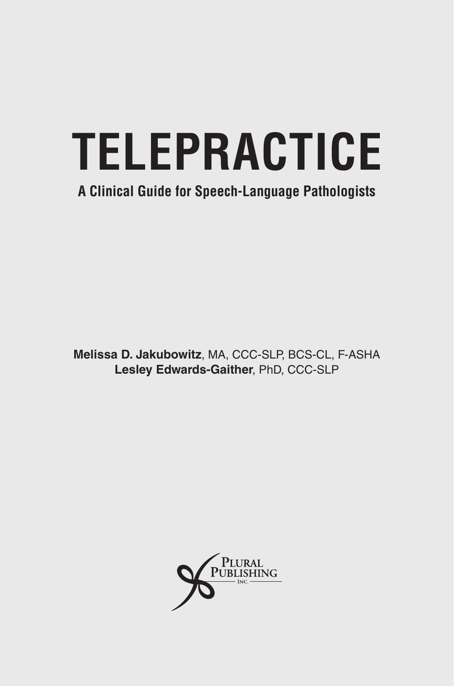# **TELEPRACTICE**

### **A Clinical Guide for Speech-Language Pathologists**

**Melissa D. Jakubowitz**, MA, CCC-SLP, BCS-CL, F-ASHA **Lesley Edwards-Gaither**, PhD, CCC-SLP

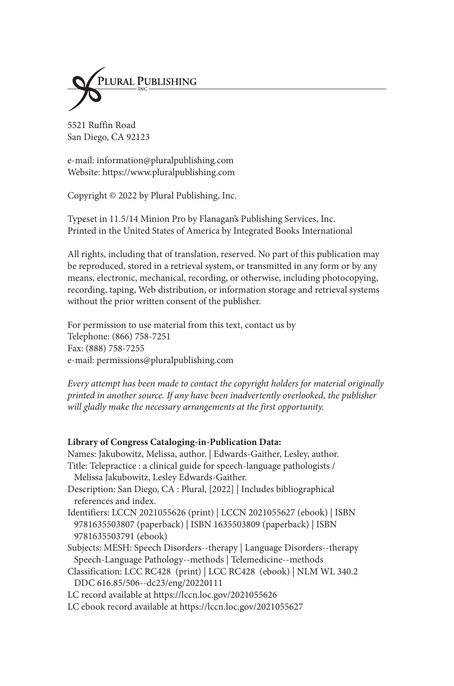

5521 Ruffin Road San Diego, CA 92123

e-mail: information@pluralpublishing.com Website: https://www.pluralpublishing.com

Copyright © 2022 by Plural Publishing, Inc.

Typeset in 11.5/14 Minion Pro by Flanagan's Publishing Services, Inc. Printed in the United States of America by Integrated Books International

All rights, including that of translation, reserved. No part of this publication may be reproduced, stored in a retrieval system, or transmitted in any form or by any means, electronic, mechanical, recording, or otherwise, including photocopying, recording, taping, Web distribution, or information storage and retrieval systems without the prior written consent of the publisher.

For permission to use material from this text, contact us by Telephone: (866) 758-7251 Fax: (888) 758-7255 e-mail: permissions@pluralpublishing.com

*Every attempt has been made to contact the copyright holders for material originally printed in another source. If any have been inadvertently overlooked, the publisher will gladly make the necessary arrangements at the first opportunity.*

#### **Library of Congress Cataloging-in-Publication Data:**

Names: Jakubowitz, Melissa, author. | Edwards-Gaither, Lesley, author. Title: Telepractice : a clinical guide for speech-language pathologists / Melissa Jakubowitz, Lesley Edwards-Gaither. Description: San Diego, CA : Plural, [2022] | Includes bibliographical references and index. Identifiers: LCCN 2021055626 (print) | LCCN 2021055627 (ebook) | ISBN 9781635503807 (paperback) | ISBN 1635503809 (paperback) | ISBN 9781635503791 (ebook) Subjects: MESH: Speech Disorders--therapy | Language Disorders--therapy Speech-Language Pathology--methods | Telemedicine--methods Classification: LCC RC428 (print) | LCC RC428 (ebook) | NLM WL 340.2 DDC 616.85/506--dc23/eng/20220111 LC record available at https://lccn.loc.gov/2021055626 LC ebook record available at https://lccn.loc.gov/2021055627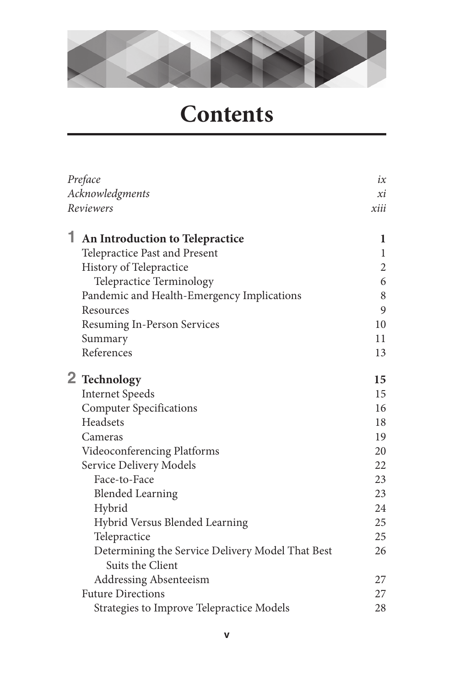

## **Contents**

| Preface<br>Acknowledgments<br>Reviewers |                                                                      | ix             |
|-----------------------------------------|----------------------------------------------------------------------|----------------|
|                                         |                                                                      | хi             |
|                                         |                                                                      | xiii           |
| 1                                       | An Introduction to Telepractice                                      | 1              |
|                                         | Telepractice Past and Present                                        | 1              |
|                                         | History of Telepractice                                              | $\overline{2}$ |
|                                         | Telepractice Terminology                                             | 6              |
|                                         | Pandemic and Health-Emergency Implications                           | 8              |
|                                         | Resources                                                            | 9              |
|                                         | Resuming In-Person Services                                          | 10             |
|                                         | Summary                                                              | 11             |
|                                         | References                                                           | 13             |
|                                         | 2 Technology                                                         | 15             |
|                                         | <b>Internet Speeds</b>                                               | 15             |
|                                         | <b>Computer Specifications</b>                                       | 16             |
|                                         | Headsets                                                             | 18             |
|                                         | Cameras                                                              | 19             |
|                                         | Videoconferencing Platforms                                          | 20             |
|                                         | Service Delivery Models                                              | 22             |
|                                         | Face-to-Face                                                         | 23             |
|                                         | <b>Blended Learning</b>                                              | 23             |
|                                         | Hybrid                                                               | 24             |
|                                         | Hybrid Versus Blended Learning                                       | 25             |
|                                         | Telepractice                                                         | 25             |
|                                         | Determining the Service Delivery Model That Best<br>Suits the Client | 26             |
|                                         | <b>Addressing Absenteeism</b>                                        | 27             |
|                                         | <b>Future Directions</b>                                             | 27             |
|                                         | Strategies to Improve Telepractice Models                            | 28             |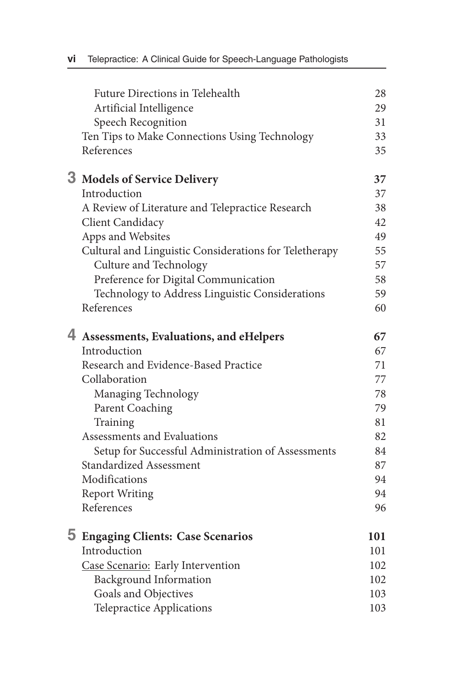| Future Directions in Telehealth                        | 28  |
|--------------------------------------------------------|-----|
| Artificial Intelligence                                | 29  |
| Speech Recognition                                     | 31  |
| Ten Tips to Make Connections Using Technology          | 33  |
| References                                             | 35  |
| 3 Models of Service Delivery                           | 37  |
| Introduction                                           | 37  |
| A Review of Literature and Telepractice Research       | 38  |
| Client Candidacy                                       | 42  |
| Apps and Websites                                      | 49  |
| Cultural and Linguistic Considerations for Teletherapy | 55  |
| Culture and Technology                                 | 57  |
| Preference for Digital Communication                   | 58  |
| Technology to Address Linguistic Considerations        | 59  |
| References                                             | 60  |
| 4 Assessments, Evaluations, and eHelpers               | 67  |
| Introduction                                           | 67  |
| Research and Evidence-Based Practice                   | 71  |
| Collaboration                                          | 77  |
| Managing Technology                                    | 78  |
| <b>Parent Coaching</b>                                 | 79  |
| Training                                               | 81  |
| Assessments and Evaluations                            | 82  |
| Setup for Successful Administration of Assessments     | 84  |
| <b>Standardized Assessment</b>                         | 87  |
| Modifications                                          | 94  |
| <b>Report Writing</b>                                  | 94  |
| References                                             | 96  |
| <b>5 Engaging Clients: Case Scenarios</b>              | 101 |
| Introduction                                           | 101 |
| Case Scenario: Early Intervention                      | 102 |
| <b>Background Information</b>                          | 102 |
| Goals and Objectives                                   | 103 |
| Telepractice Applications                              | 103 |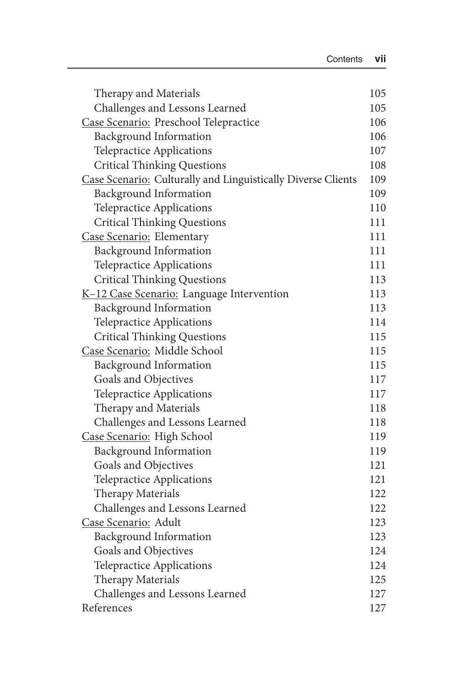| Therapy and Materials                                        | 105 |
|--------------------------------------------------------------|-----|
| Challenges and Lessons Learned                               | 105 |
| Case Scenario: Preschool Telepractice                        | 106 |
| <b>Background Information</b>                                | 106 |
| Telepractice Applications                                    | 107 |
| <b>Critical Thinking Questions</b>                           | 108 |
| Case Scenario: Culturally and Linguistically Diverse Clients | 109 |
| <b>Background Information</b>                                | 109 |
| Telepractice Applications                                    | 110 |
| <b>Critical Thinking Questions</b>                           | 111 |
| Case Scenario: Elementary                                    | 111 |
| <b>Background Information</b>                                | 111 |
| <b>Telepractice Applications</b>                             | 111 |
| <b>Critical Thinking Questions</b>                           | 113 |
| K-12 Case Scenario: Language Intervention                    | 113 |
| <b>Background Information</b>                                | 113 |
| Telepractice Applications                                    | 114 |
| <b>Critical Thinking Questions</b>                           | 115 |
| Case Scenario: Middle School                                 | 115 |
| <b>Background Information</b>                                | 115 |
| Goals and Objectives                                         | 117 |
| Telepractice Applications                                    | 117 |
| Therapy and Materials                                        | 118 |
| Challenges and Lessons Learned                               | 118 |
| Case Scenario: High School                                   | 119 |
| <b>Background Information</b>                                | 119 |
| Goals and Objectives                                         | 121 |
| Telepractice Applications                                    | 121 |
| Therapy Materials                                            | 122 |
| Challenges and Lessons Learned                               | 122 |
| Case Scenario: Adult                                         | 123 |
| <b>Background Information</b>                                | 123 |
| Goals and Objectives                                         | 124 |
| Telepractice Applications                                    | 124 |
| Therapy Materials                                            | 125 |
| Challenges and Lessons Learned                               | 127 |
| References                                                   | 127 |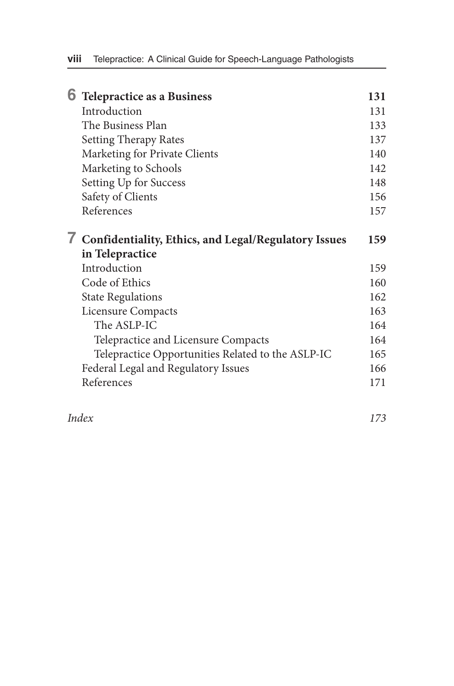|  | <b>6</b> Telepractice as a Business                    | 131 |
|--|--------------------------------------------------------|-----|
|  | Introduction                                           | 131 |
|  | The Business Plan                                      | 133 |
|  | Setting Therapy Rates                                  | 137 |
|  | Marketing for Private Clients                          | 140 |
|  | Marketing to Schools                                   | 142 |
|  | Setting Up for Success                                 | 148 |
|  | Safety of Clients                                      | 156 |
|  | References                                             | 157 |
|  | 7 Confidentiality, Ethics, and Legal/Regulatory Issues | 159 |
|  | in Telepractice                                        |     |
|  | Introduction                                           | 159 |
|  | Code of Ethics                                         | 160 |
|  | <b>State Regulations</b>                               | 162 |
|  | Licensure Compacts                                     | 163 |
|  | The ASLP-IC                                            | 164 |
|  | Telepractice and Licensure Compacts                    | 164 |
|  | Telepractice Opportunities Related to the ASLP-IC      | 165 |
|  | Federal Legal and Regulatory Issues                    | 166 |
|  | References                                             | 171 |
|  |                                                        |     |

*Index 173*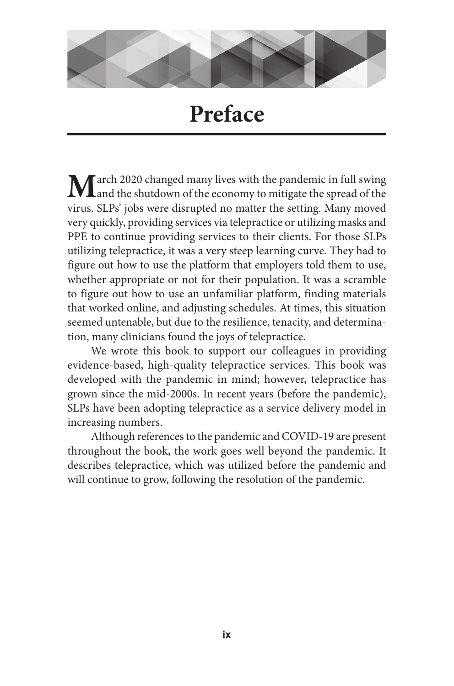

## **Preface**

**M** arch 2020 changed many lives with the pandemic in full swing Land the shutdown of the economy to mitigate the spread of the virus. SLPs' jobs were disrupted no matter the setting. Many moved very quickly, providing services via telepractice or utilizing masks and PPE to continue providing services to their clients. For those SLPs utilizing telepractice, it was a very steep learning curve. They had to figure out how to use the platform that employers told them to use, whether appropriate or not for their population. It was a scramble to figure out how to use an unfamiliar platform, finding materials that worked online, and adjusting schedules. At times, this situation seemed untenable, but due to the resilience, tenacity, and determination, many clinicians found the joys of telepractice.

We wrote this book to support our colleagues in providing evidence-based, high-quality telepractice services. This book was developed with the pandemic in mind; however, telepractice has grown since the mid-2000s. In recent years (before the pandemic), SLPs have been adopting telepractice as a service delivery model in increasing numbers.

Although references to the pandemic and COVID-19 are present throughout the book, the work goes well beyond the pandemic. It describes telepractice, which was utilized before the pandemic and will continue to grow, following the resolution of the pandemic.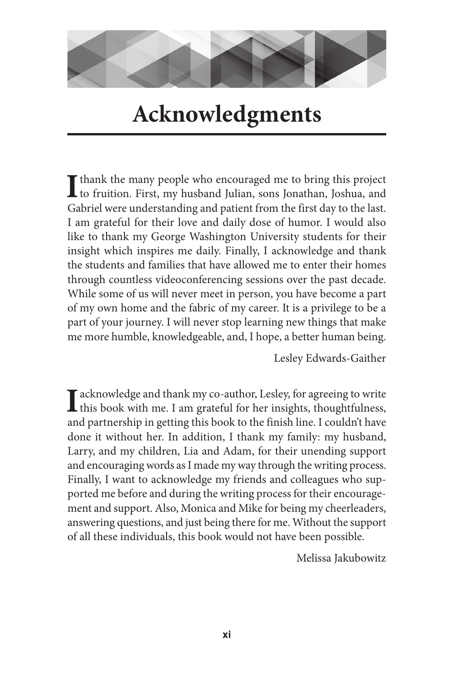

## **Acknowledgments**

**I** thank the many people who encouraged me to bring this project **L** to fruition. First, my husband Julian, sons Jonathan, Joshua, and Gabriel were understanding and patient from the first day to the last. I am grateful for their love and daily dose of humor. I would also like to thank my George Washington University students for their insight which inspires me daily. Finally, I acknowledge and thank the students and families that have allowed me to enter their homes through countless videoconferencing sessions over the past decade. While some of us will never meet in person, you have become a part of my own home and the fabric of my career. It is a privilege to be a part of your journey. I will never stop learning new things that make me more humble, knowledgeable, and, I hope, a better human being.

Lesley Edwards-Gaither

I acknowledge and thank my co-author, Lesley, for agreeing to write<br>this book with me. I am grateful for her insights, thoughtfulness, and partnership in getting this book to the finish line. I couldn't have done it without her. In addition, I thank my family: my husband, Larry, and my children, Lia and Adam, for their unending support and encouraging words as I made my way through the writing process. Finally, I want to acknowledge my friends and colleagues who supported me before and during the writing process for their encouragement and support. Also, Monica and Mike for being my cheerleaders, answering questions, and just being there for me. Without the support of all these individuals, this book would not have been possible.

Melissa Jakubowitz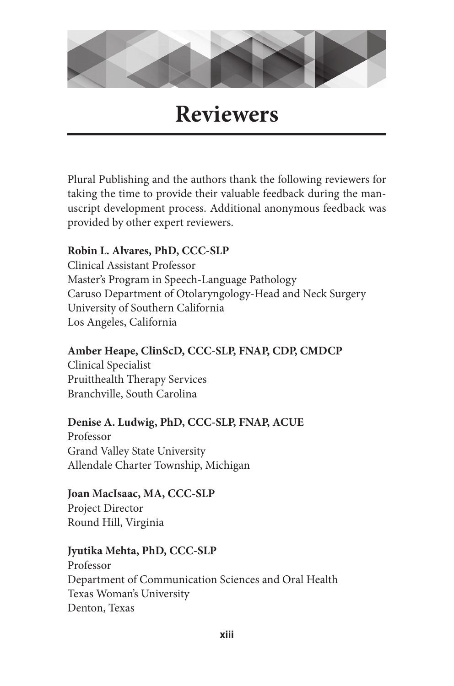

## **Reviewers**

Plural Publishing and the authors thank the following reviewers for taking the time to provide their valuable feedback during the manuscript development process. Additional anonymous feedback was provided by other expert reviewers.

#### **Robin L. Alvares, PhD, CCC-SLP**

Clinical Assistant Professor Master's Program in Speech-Language Pathology Caruso Department of Otolaryngology-Head and Neck Surgery University of Southern California Los Angeles, California

#### **Amber Heape, ClinScD, CCC-SLP, FNAP, CDP, CMDCP**

Clinical Specialist Pruitthealth Therapy Services Branchville, South Carolina

#### **Denise A. Ludwig, PhD, CCC-SLP, FNAP, ACUE**

Professor Grand Valley State University Allendale Charter Township, Michigan

#### **Joan MacIsaac, MA, CCC-SLP**

Project Director Round Hill, Virginia

#### **Jyutika Mehta, PhD, CCC-SLP**

Professor Department of Communication Sciences and Oral Health Texas Woman's University Denton, Texas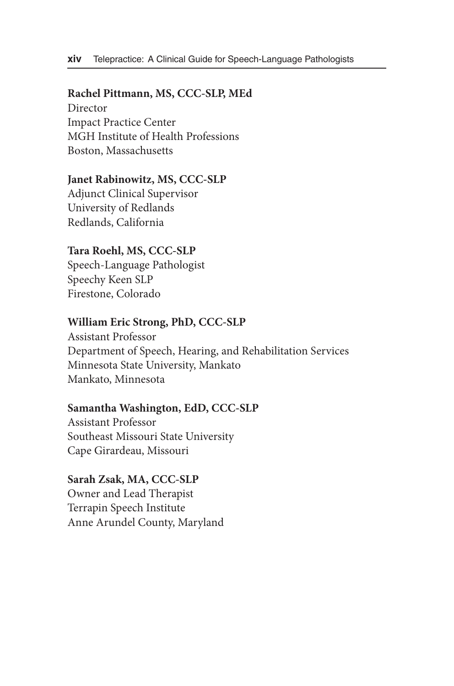#### **Rachel Pittmann, MS, CCC-SLP, MEd**

Director Impact Practice Center MGH Institute of Health Professions Boston, Massachusetts

#### **Janet Rabinowitz, MS, CCC-SLP**

Adjunct Clinical Supervisor University of Redlands Redlands, California

#### **Tara Roehl, MS, CCC-SLP**

Speech-Language Pathologist Speechy Keen SLP Firestone, Colorado

#### **William Eric Strong, PhD, CCC-SLP**

Assistant Professor Department of Speech, Hearing, and Rehabilitation Services Minnesota State University, Mankato Mankato, Minnesota

#### **Samantha Washington, EdD, CCC-SLP**

Assistant Professor Southeast Missouri State University Cape Girardeau, Missouri

**Sarah Zsak, MA, CCC-SLP** Owner and Lead Therapist Terrapin Speech Institute Anne Arundel County, Maryland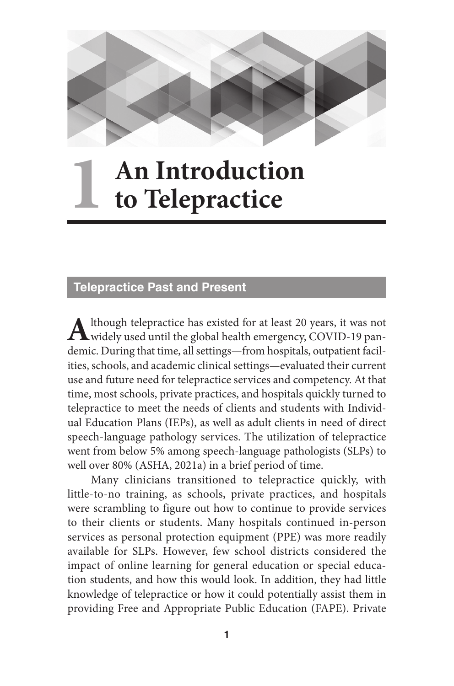

## **An Introduction to Telepractice 1**

#### **Telepractice Past and Present**

Although telepractice has existed for at least 20 years, it was not widely used until the global health emergency, COVID-19 pandemic. During that time, all settings—from hospitals, outpatient facilities, schools, and academic clinical settings—evaluated their current use and future need for telepractice services and competency. At that time, most schools, private practices, and hospitals quickly turned to telepractice to meet the needs of clients and students with Individual Education Plans (IEPs), as well as adult clients in need of direct speech-language pathology services. The utilization of telepractice went from below 5% among speech-language pathologists (SLPs) to well over 80% (ASHA, 2021a) in a brief period of time.

Many clinicians transitioned to telepractice quickly, with little-to-no training, as schools, private practices, and hospitals were scrambling to figure out how to continue to provide services to their clients or students. Many hospitals continued in-person services as personal protection equipment (PPE) was more readily available for SLPs. However, few school districts considered the impact of online learning for general education or special education students, and how this would look. In addition, they had little knowledge of telepractice or how it could potentially assist them in providing Free and Appropriate Public Education (FAPE). Private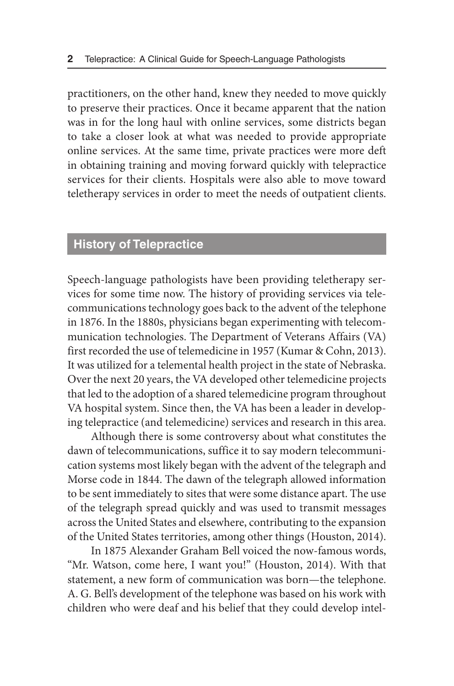practitioners, on the other hand, knew they needed to move quickly to preserve their practices. Once it became apparent that the nation was in for the long haul with online services, some districts began to take a closer look at what was needed to provide appropriate online services. At the same time, private practices were more deft in obtaining training and moving forward quickly with telepractice services for their clients. Hospitals were also able to move toward teletherapy services in order to meet the needs of outpatient clients.

#### **History of Telepractice**

Speech-language pathologists have been providing teletherapy services for some time now. The history of providing services via telecommunications technology goes back to the advent of the telephone in 1876. In the 1880s, physicians began experimenting with telecommunication technologies. The Department of Veterans Affairs (VA) first recorded the use of telemedicine in 1957 (Kumar & Cohn, 2013). It was utilized for a telemental health project in the state of Nebraska. Over the next 20 years, the VA developed other telemedicine projects that led to the adoption of a shared telemedicine program throughout VA hospital system. Since then, the VA has been a leader in developing telepractice (and telemedicine) services and research in this area.

Although there is some controversy about what constitutes the dawn of telecommunications, suffice it to say modern telecommunication systems most likely began with the advent of the telegraph and Morse code in 1844. The dawn of the telegraph allowed information to be sent immediately to sites that were some distance apart. The use of the telegraph spread quickly and was used to transmit messages across the United States and elsewhere, contributing to the expansion of the United States territories, among other things (Houston, 2014).

In 1875 Alexander Graham Bell voiced the now-famous words, "Mr. Watson, come here, I want you!" (Houston, 2014). With that statement, a new form of communication was born—the telephone. A. G. Bell's development of the telephone was based on his work with children who were deaf and his belief that they could develop intel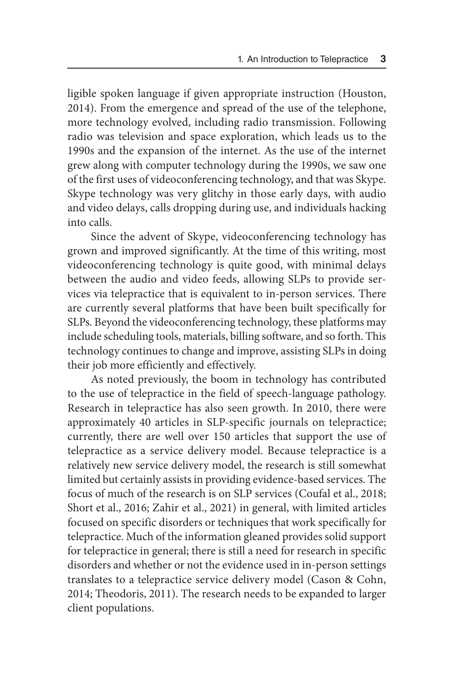ligible spoken language if given appropriate instruction (Houston, 2014). From the emergence and spread of the use of the telephone, more technology evolved, including radio transmission. Following radio was television and space exploration, which leads us to the 1990s and the expansion of the internet. As the use of the internet grew along with computer technology during the 1990s, we saw one of the first uses of videoconferencing technology, and that was Skype. Skype technology was very glitchy in those early days, with audio and video delays, calls dropping during use, and individuals hacking into calls.

Since the advent of Skype, videoconferencing technology has grown and improved significantly. At the time of this writing, most videoconferencing technology is quite good, with minimal delays between the audio and video feeds, allowing SLPs to provide services via telepractice that is equivalent to in-person services. There are currently several platforms that have been built specifically for SLPs. Beyond the videoconferencing technology, these platforms may include scheduling tools, materials, billing software, and so forth. This technology continues to change and improve, assisting SLPs in doing their job more efficiently and effectively.

As noted previously, the boom in technology has contributed to the use of telepractice in the field of speech-language pathology. Research in telepractice has also seen growth. In 2010, there were approximately 40 articles in SLP-specific journals on telepractice; currently, there are well over 150 articles that support the use of telepractice as a service delivery model. Because telepractice is a relatively new service delivery model, the research is still somewhat limited but certainly assists in providing evidence-based services. The focus of much of the research is on SLP services (Coufal et al., 2018; Short et al., 2016; Zahir et al., 2021) in general, with limited articles focused on specific disorders or techniques that work specifically for telepractice. Much of the information gleaned provides solid support for telepractice in general; there is still a need for research in specific disorders and whether or not the evidence used in in-person settings translates to a telepractice service delivery model (Cason & Cohn, 2014; Theodoris, 2011). The research needs to be expanded to larger client populations.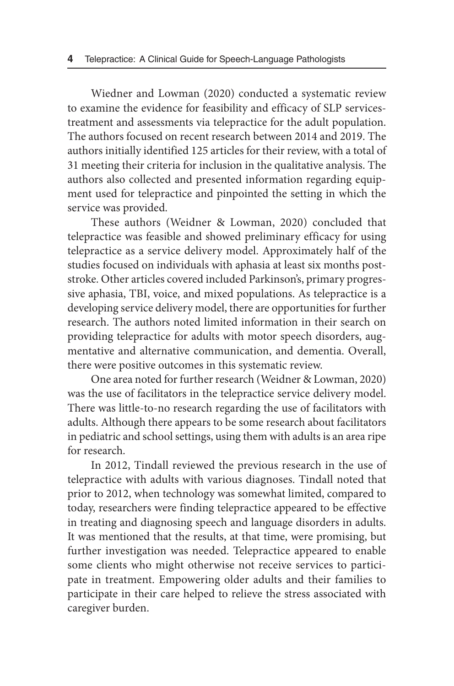Wiedner and Lowman (2020) conducted a systematic review to examine the evidence for feasibility and efficacy of SLP servicestreatment and assessments via telepractice for the adult population. The authors focused on recent research between 2014 and 2019. The authors initially identified 125 articles for their review, with a total of 31 meeting their criteria for inclusion in the qualitative analysis. The authors also collected and presented information regarding equipment used for telepractice and pinpointed the setting in which the service was provided.

These authors (Weidner & Lowman, 2020) concluded that telepractice was feasible and showed preliminary efficacy for using telepractice as a service delivery model. Approximately half of the studies focused on individuals with aphasia at least six months poststroke. Other articles covered included Parkinson's, primary progressive aphasia, TBI, voice, and mixed populations. As telepractice is a developing service delivery model, there are opportunities for further research. The authors noted limited information in their search on providing telepractice for adults with motor speech disorders, augmentative and alternative communication, and dementia. Overall, there were positive outcomes in this systematic review.

One area noted for further research (Weidner & Lowman, 2020) was the use of facilitators in the telepractice service delivery model. There was little-to-no research regarding the use of facilitators with adults. Although there appears to be some research about facilitators in pediatric and school settings, using them with adults is an area ripe for research.

In 2012, Tindall reviewed the previous research in the use of telepractice with adults with various diagnoses. Tindall noted that prior to 2012, when technology was somewhat limited, compared to today, researchers were finding telepractice appeared to be effective in treating and diagnosing speech and language disorders in adults. It was mentioned that the results, at that time, were promising, but further investigation was needed. Telepractice appeared to enable some clients who might otherwise not receive services to participate in treatment. Empowering older adults and their families to participate in their care helped to relieve the stress associated with caregiver burden.